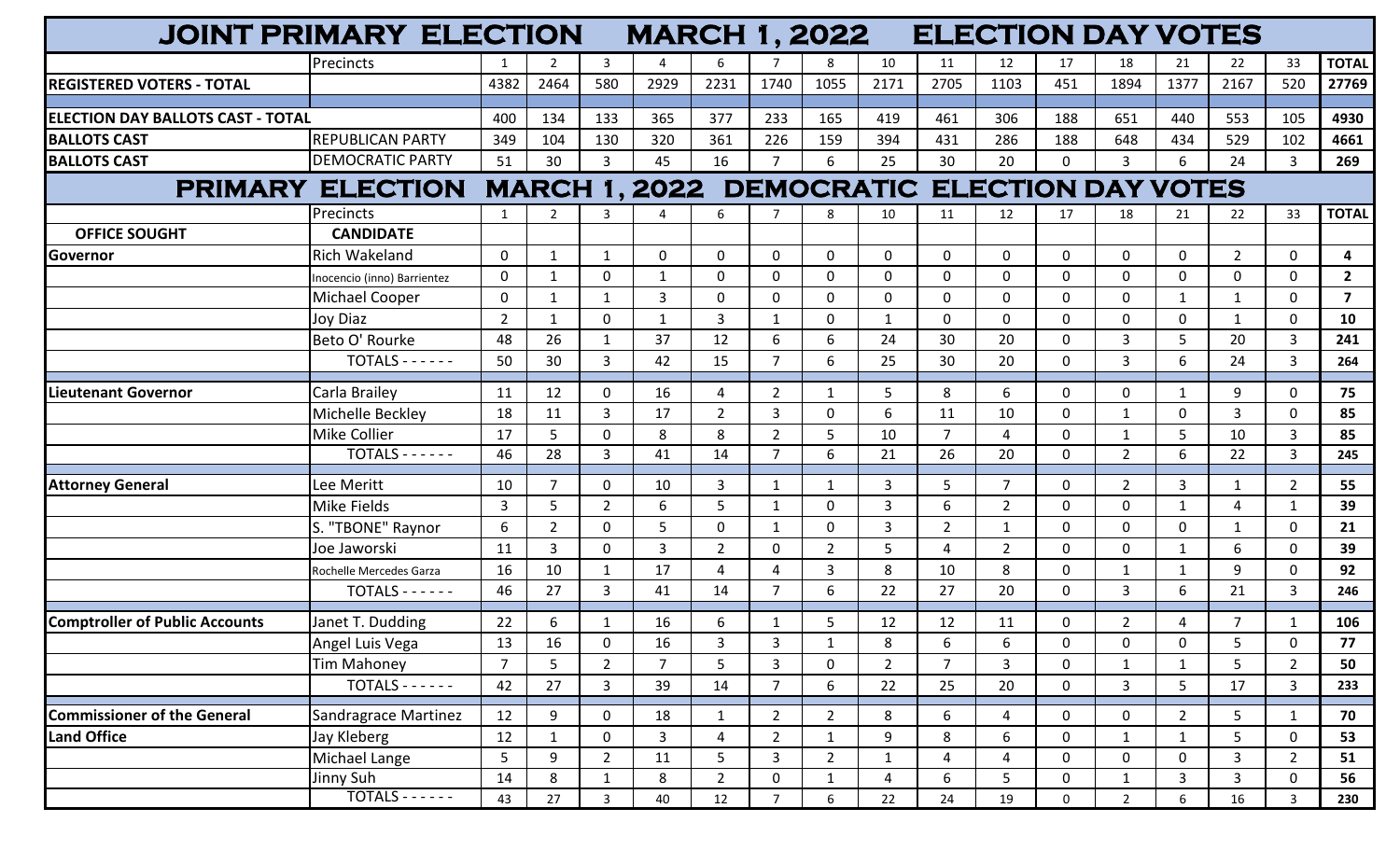|                                       | <b>JOINT PRIMARY ELECTION</b> |                |                |                | <b>MARCH 1, 2022</b> |                |                |                |                |                | <b>ELECTION DAY VOTES</b>                          |             |                |                |                |                |                |
|---------------------------------------|-------------------------------|----------------|----------------|----------------|----------------------|----------------|----------------|----------------|----------------|----------------|----------------------------------------------------|-------------|----------------|----------------|----------------|----------------|----------------|
|                                       | <b>Precincts</b>              |                | 2              | -3             |                      | 6              |                | 8              | 10             | 11             | 12                                                 | 17          | 18             | 21             | 22             | 33             | <b>TOTAL</b>   |
| <b>REGISTERED VOTERS - TOTAL</b>      |                               | 4382           | 2464           | 580            | 2929                 | 2231           | 1740           | 1055           | 2171           | 2705           | 1103                                               | 451         | 1894           | 1377           | 2167           | 520            | 27769          |
|                                       |                               |                |                |                |                      |                |                |                |                |                |                                                    |             |                |                |                |                |                |
| ELECTION DAY BALLOTS CAST - TOTAL     |                               | 400            | 134            | 133            | 365                  | 377            | 233            | 165            | 419            | 461            | 306                                                | 188         | 651            | 440            | 553            | 105            | 4930           |
| <b>BALLOTS CAST</b>                   | <b>REPUBLICAN PARTY</b>       | 349            | 104            | 130            | 320                  | 361            | 226            | 159            | 394            | 431            | 286                                                | 188         | 648            | 434            | 529            | 102            | 4661           |
| <b>BALLOTS CAST</b>                   | <b>DEMOCRATIC PARTY</b>       | 51             | 30             | 3              | 45                   | 16             | $\overline{7}$ | 6              | 25             | 30             | 20                                                 | $\Omega$    | $\mathbf{3}$   | 6              | 24             | 3              | 269            |
| <b>PRIMARY ELECTION</b>               |                               |                |                |                |                      |                |                |                |                |                | <b>MARCH 1, 2022 DEMOCRATIC ELECTION DAY VOTES</b> |             |                |                |                |                |                |
|                                       | Precincts                     | 1              | $\overline{2}$ | 3              | 4                    | 6              |                | 8              | 10             | 11             | 12                                                 | 17          | 18             | 21             | 22             | 33             | <b>TOTAL</b>   |
| <b>OFFICE SOUGHT</b>                  | <b>CANDIDATE</b>              |                |                |                |                      |                |                |                |                |                |                                                    |             |                |                |                |                |                |
| <b>Governor</b>                       | Rich Wakeland                 | $\mathbf 0$    | 1              | $\mathbf{1}$   | $\mathbf 0$          | $\mathbf 0$    | $\mathbf 0$    | 0              | 0              | 0              | $\mathbf 0$                                        | 0           | $\Omega$       | $\mathbf 0$    | $\overline{2}$ | $\mathbf 0$    | 4              |
|                                       | Inocencio (inno) Barrientez   | $\Omega$       |                | O              | $\mathbf{1}$         | $\mathbf 0$    | $\mathbf{0}$   | 0              | $\mathbf{0}$   | $\Omega$       | $\mathbf 0$                                        | 0           | $\Omega$       | 0              | $\mathbf 0$    | $\mathbf 0$    | $\overline{2}$ |
|                                       | <b>Michael Cooper</b>         | 0              | $\mathbf 1$    |                | 3                    | $\mathbf 0$    | $\mathbf{0}$   | 0              | 0              | $\Omega$       | $\mathbf 0$                                        | 0           | $\Omega$       | 1              | $\mathbf{1}$   | 0              | $\overline{7}$ |
|                                       | <b>Joy Diaz</b>               | $\overline{2}$ | -1             | $\Omega$       | 1                    | 3              | 1              | 0              | $\mathbf{1}$   | $\Omega$       | $\mathbf 0$                                        | 0           | $\Omega$       | 0              | 1              | 0              | 10             |
|                                       | Beto O' Rourke                | 48             | 26             |                | 37                   | 12             | 6              | 6              | 24             | 30             | 20                                                 | 0           | 3              | 5              | 20             | 3              | 241            |
|                                       | $TOTALS - - - - -$            | 50             | 30             | 3              | 42                   | 15             | $\overline{7}$ | 6              | 25             | 30             | 20                                                 | 0           | $\mathbf{3}$   | 6              | 24             | 3              | 264            |
| <b>Lieutenant Governor</b>            | Carla Brailey                 | 11             | 12             | $\Omega$       | 16                   | 4              | $\overline{2}$ | $\mathbf{1}$   | 5              | 8              | 6                                                  | 0           | $\Omega$       | $\mathbf{1}$   | 9              | $\mathbf 0$    | 75             |
|                                       | Michelle Beckley              | 18             | 11             | 3              | 17                   | $\overline{2}$ | 3              | 0              | 6              | 11             | 10                                                 | 0           | $\mathbf{1}$   | 0              | $\overline{3}$ | $\mathbf 0$    | 85             |
|                                       | Mike Collier                  | 17             | 5              | $\Omega$       | 8                    | 8              | $\overline{2}$ | 5              | 10             | $\overline{7}$ | 4                                                  | 0           | -1             | 5              | 10             | 3              | 85             |
|                                       | $TOTALS - - - - -$            | 46             | 28             | 3              | 41                   | 14             | $\overline{7}$ | 6              | 21             | 26             | 20                                                 | 0           | $\overline{2}$ | 6              | 22             | 3              | 245            |
| <b>Attorney General</b>               | Lee Meritt                    | 10             |                | $\Omega$       | 10                   | 3              | $\mathbf{1}$   | 1              | 3              | 5              | $\overline{7}$                                     | 0           | $\overline{2}$ | 3              | 1              | $\overline{2}$ | 55             |
|                                       | <b>Mike Fields</b>            | 3              | 5              | $\overline{2}$ | 6                    | 5              | $\mathbf{1}$   | 0              | 3              | 6              | $\overline{2}$                                     | 0           | $\mathbf{0}$   | $\mathbf{1}$   | $\overline{4}$ | $\mathbf{1}$   | 39             |
|                                       | S. "TBONE" Raynor             | 6              | 2              | $\Omega$       | 5                    | $\mathbf 0$    | $\mathbf{1}$   | 0              | 3              | $\overline{2}$ | $\mathbf{1}$                                       | 0           | $\Omega$       | $\mathbf 0$    | $\mathbf{1}$   | $\Omega$       | 21             |
|                                       | Joe Jaworski                  | 11             | $\overline{3}$ | $\Omega$       | 3                    | $\overline{2}$ | 0              | $\overline{2}$ | 5              | 4              | $\overline{2}$                                     | 0           | $\mathbf 0$    | $\mathbf{1}$   | 6              | 0              | 39             |
|                                       | Rochelle Mercedes Garza       | 16             | 10             |                | 17                   | 4              | 4              | 3              | 8              | 10             | 8                                                  | 0           | 1              | $\mathbf{1}$   | 9              | $\mathbf 0$    | 92             |
|                                       | $TOTALS - - - - -$            | 46             | 27             | 3              | 41                   | 14             | $\overline{7}$ | 6              | 22             | 27             | 20                                                 | 0           | 3              | 6              | 21             | 3              | 246            |
| <b>Comptroller of Public Accounts</b> | Janet T. Dudding              | 22             | 6              | $\mathbf{1}$   | 16                   | 6              | 1              | 5              | 12             | 12             | 11                                                 | 0           | $2^{\circ}$    | 4              | $\overline{7}$ | $\mathbf{1}$   | 106            |
|                                       | Angel Luis Vega               | 13             | 16             | 0              | 16                   | 3              | 3              | 1              | 8              | 6              | 6                                                  | 0           | 0              | 0              | 5              | 0              | 77             |
|                                       | <b>Tim Mahoney</b>            | $\overline{7}$ | 5 <sup>1</sup> | $\overline{2}$ | $\overline{7}$       | 5              | $\overline{3}$ | $\mathbf 0$    | $\overline{2}$ | $\overline{7}$ | $\overline{3}$                                     | 0           | $\mathbf{1}$   | $\mathbf{1}$   | 5              | $2^{\circ}$    | 50             |
|                                       | $TOTALS - - - - -$            | 42             | 27             | 3              | 39                   | 14             | $\overline{7}$ | 6              | 22             | 25             | 20                                                 | 0           | $\mathbf{3}$   | 5              | 17             | $\mathbf{3}$   | 233            |
| <b>Commissioner of the General</b>    | Sandragrace Martinez          | 12             | 9              | $\mathbf 0$    | 18                   | $\mathbf{1}$   | $\overline{2}$ | $\overline{2}$ | 8              | 6              | $\overline{4}$                                     | 0           | $\mathbf 0$    | $2^{\circ}$    | 5              | $\mathbf{1}$   | 70             |
| <b>Land Office</b>                    | Jay Kleberg                   | 12             | $\mathbf{1}$   | $\mathsf{O}$   | $\mathbf{3}$         | $\overline{4}$ | $\overline{2}$ | $\mathbf{1}$   | 9              | 8              | 6                                                  | 0           | $\mathbf{1}$   | $\mathbf{1}$   | 5              | $\mathsf{O}$   | 53             |
|                                       | Michael Lange                 | 5              | 9              | $\overline{2}$ | 11                   | 5              | $\mathbf{3}$   | $\overline{2}$ | $\mathbf{1}$   | 4              | $\overline{4}$                                     | $\mathbf 0$ | $\mathbf 0$    | $\mathsf{O}$   | $\mathbf{3}$   | $\overline{2}$ | 51             |
|                                       | Jinny Suh                     | 14             | 8              |                | 8                    | $\overline{2}$ | $\mathbf 0$    | $\mathbf{1}$   | 4              | 6              | 5                                                  | 0           | $\mathbf{1}$   | 3 <sup>1</sup> | $\mathbf{3}$   | $\mathbf 0$    | 56             |
|                                       | $TOTALS$ ------               | 43             | 27             | $\mathbf{3}$   | 40                   | 12             | $\overline{7}$ | 6              | 22             | 24             | 19                                                 | $\mathbf 0$ | $2^{\circ}$    | 6              | 16             | $\mathbf{3}$   | 230            |